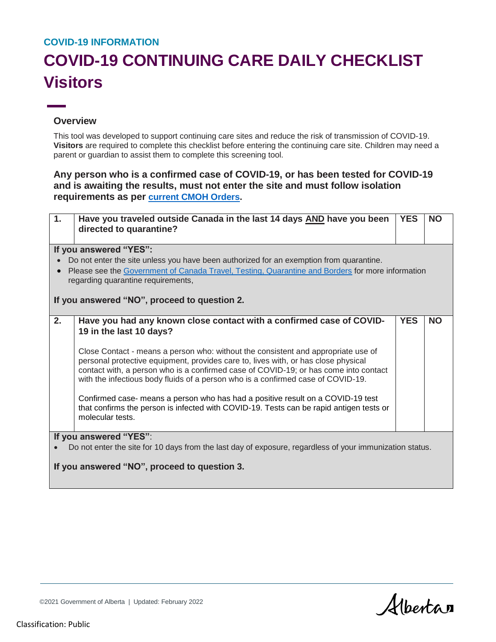## **COVID-19 INFORMATION**

## **COVID-19 CONTINUING CARE DAILY CHECKLIST Visitors**

## **Overview**

This tool was developed to support continuing care sites and reduce the risk of transmission of COVID-19. **Visitors** are required to complete this checklist before entering the continuing care site. Children may need a parent or guardian to assist them to complete this screening tool.

## **Any person who is a confirmed case of COVID-19, or has been tested for COVID-19 and is awaiting the results, must not enter the site and must follow isolation requirements as per [current CMOH Orders.](https://www.alberta.ca/isolation.aspx)**

| 1.                                                                                                       | Have you traveled outside Canada in the last 14 days AND have you been<br>directed to quarantine?                                                                          | <b>YES</b> | <b>NO</b> |  |  |
|----------------------------------------------------------------------------------------------------------|----------------------------------------------------------------------------------------------------------------------------------------------------------------------------|------------|-----------|--|--|
|                                                                                                          | If you answered "YES":                                                                                                                                                     |            |           |  |  |
| Do not enter the site unless you have been authorized for an exemption from quarantine.                  |                                                                                                                                                                            |            |           |  |  |
| Please see the Government of Canada Travel, Testing, Quarantine and Borders for more information         |                                                                                                                                                                            |            |           |  |  |
| regarding quarantine requirements,                                                                       |                                                                                                                                                                            |            |           |  |  |
| If you answered "NO", proceed to question 2.                                                             |                                                                                                                                                                            |            |           |  |  |
|                                                                                                          |                                                                                                                                                                            |            |           |  |  |
| 2.                                                                                                       | Have you had any known close contact with a confirmed case of COVID-                                                                                                       | <b>YES</b> | <b>NO</b> |  |  |
|                                                                                                          | 19 in the last 10 days?                                                                                                                                                    |            |           |  |  |
|                                                                                                          |                                                                                                                                                                            |            |           |  |  |
|                                                                                                          | Close Contact - means a person who: without the consistent and appropriate use of<br>personal protective equipment, provides care to, lives with, or has close physical    |            |           |  |  |
|                                                                                                          | contact with, a person who is a confirmed case of COVID-19; or has come into contact                                                                                       |            |           |  |  |
|                                                                                                          | with the infectious body fluids of a person who is a confirmed case of COVID-19.                                                                                           |            |           |  |  |
|                                                                                                          |                                                                                                                                                                            |            |           |  |  |
|                                                                                                          | Confirmed case- means a person who has had a positive result on a COVID-19 test<br>that confirms the person is infected with COVID-19. Tests can be rapid antigen tests or |            |           |  |  |
|                                                                                                          | molecular tests.                                                                                                                                                           |            |           |  |  |
|                                                                                                          |                                                                                                                                                                            |            |           |  |  |
| If you answered "YES":                                                                                   |                                                                                                                                                                            |            |           |  |  |
| Do not enter the site for 10 days from the last day of exposure, regardless of your immunization status. |                                                                                                                                                                            |            |           |  |  |
| If you answered "NO", proceed to question 3.                                                             |                                                                                                                                                                            |            |           |  |  |
|                                                                                                          |                                                                                                                                                                            |            |           |  |  |

Albertan

©2021 Government of Alberta | Updated: February 2022